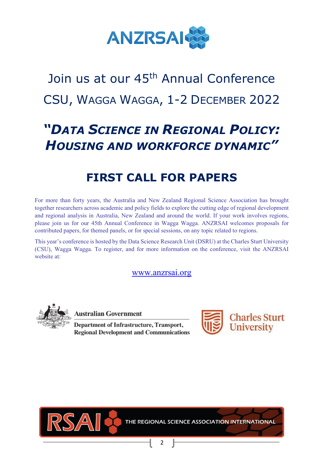

# Join us at our 45<sup>th</sup> Annual Conference CSU, WAGGA WAGGA, 1-2 DECEMBER 2022

## *"DATA SCIENCE IN REGIONAL POLICY: HOUSING AND WORKFORCE DYNAMIC"*

## **FIRST CALL FOR PAPERS**

For more than forty years, the Australia and New Zealand Regional Science Association has brought together researchers across academic and policy fields to explore the cutting edge of regional development and regional analysis in Australia, New Zealand and around the world. If your work involves regions, please join us for our 45th Annual Conference in Wagga Wagga. ANZRSAI welcomes proposals for contributed papers, for themed panels, or for special sessions, on any topic related to regions.

This year's conference is hosted by the Data Science Research Unit (DSRU) at the Charles Sturt University (CSU), Wagga Wagga. To register, and for more information on the conference, visit the ANZRSAI website at:

#### [www.anzrsai.org](http://www.anzrsai.org/)



**Australian Government** 

Department of Infrastructure, Transport, **Regional Development and Communications** 





THE REGIONAL SCIENCE ASSOCIATION INTERNATIONAL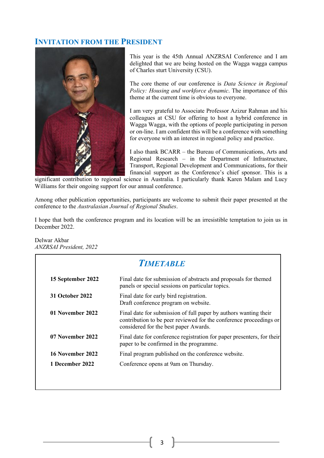#### **INVITATION FROM THE PRESIDENT**



This year is the 45th Annual ANZRSAI Conference and I am delighted that we are being hosted on the Wagga wagga campus of Charles sturt University (CSU).

The core theme of our conference is *Data Science in Regional Policy: Housing and workforce dynamic*. The importance of this theme at the current time is obvious to everyone.

I am very grateful to Associate Professor Azizur Rahman and his colleagues at CSU for offering to host a hybrid conference in Wagga Wagga, with the options of people participating in person or on-line. I am confident this will be a conference with something for everyone with an interest in regional policy and practice.

I also thank BCARR – the Bureau of Communications, Arts and Regional Research – in the Department of Infrastructure, Transport, Regional Development and Communications, for their financial support as the Conference's chief sponsor. This is a

significant contribution to regional science in Australia. I particularly thank Karen Malam and Lucy Williams for their ongoing support for our annual conference.

Among other publication opportunities, participants are welcome to submit their paper presented at the conference to the *Australasian Journal of Regional Studies*.

I hope that both the conference program and its location will be an irresistible temptation to join us in December 2022.

Delwar Akbar *ANZRSAI President, 2022*

| <b>TIMETARLE</b>       |                                                                                                                                                                                 |  |
|------------------------|---------------------------------------------------------------------------------------------------------------------------------------------------------------------------------|--|
| 15 September 2022      | Final date for submission of abstracts and proposals for themed<br>panels or special sessions on particular topics.                                                             |  |
| <b>31 October 2022</b> | Final date for early bird registration.<br>Draft conference program on website.                                                                                                 |  |
| 01 November 2022       | Final date for submission of full paper by authors wanting their<br>contribution to be peer reviewed for the conference proceedings or<br>considered for the best paper Awards. |  |
| 07 November 2022       | Final date for conference registration for paper presenters, for their<br>paper to be confirmed in the programme.                                                               |  |
| 16 November 2022       | Final program published on the conference website.                                                                                                                              |  |
| 1 December 2022        | Conference opens at 9am on Thursday.                                                                                                                                            |  |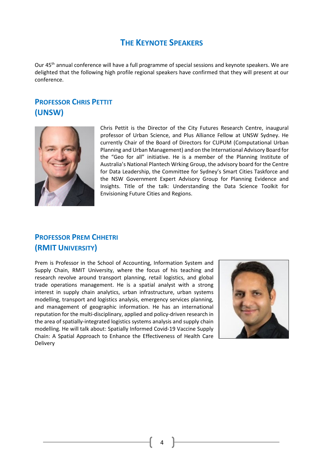#### **THE KEYNOTE SPEAKERS**

Our 45<sup>th</sup> annual conference will have a full programme of special sessions and keynote speakers. We are delighted that the following high profile regional speakers have confirmed that they will present at our conference.

### **PROFESSOR CHRIS PETTIT (UNSW)**



Chris Pettit is the Director of the City Futures Research Centre, inaugural professor of Urban Science, and Plus Alliance Fellow at UNSW Sydney. He currently Chair of the Board of Directors for CUPUM (Computational Urban Planning and Urban Management) and on the International Advisory Board for the "Geo for all" initiative. He is a member of the Planning Institute of Australia's National Plantech Wrking Group, the advisory board for the Centre for Data Leadership, the Committee for Sydney's Smart Cities Taskforce and the NSW Government Expert Advisory Group for Planning Evidence and Insights. Title of the talk: Understanding the Data Science Toolkit for Envisioning Future Cities and Regions.

### **PROFESSOR PREM CHHETRI (RMIT UNIVERSITY)**

Prem is Professor in the School of Accounting, Information System and Supply Chain, RMIT University, where the focus of his teaching and research revolve around transport planning, retail logistics, and global trade operations management. He is a spatial analyst with a strong interest in supply chain analytics, urban infrastructure, urban systems modelling, transport and logistics analysis, emergency services planning, and management of geographic information. He has an international reputation for the multi-disciplinary, applied and policy-driven research in the area of spatially-integrated logistics systems analysis and supply chain modelling. He will talk about: Spatially Informed Covid-19 Vaccine Supply Chain: A Spatial Approach to Enhance the Effectiveness of Health Care Delivery

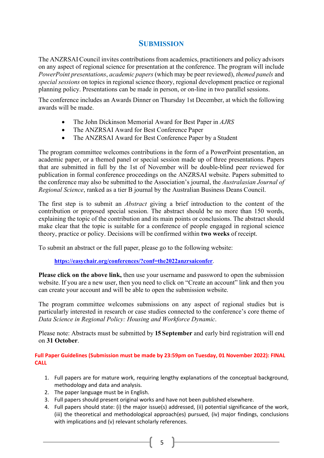#### **SUBMISSION**

The ANZRSAI Council invites contributions from academics, practitioners and policy advisors on any aspect of regional science for presentation at the conference. The program will include *PowerPoint presentations*, *academic papers* (which may be peer reviewed), *themed panels* and *special sessions* on topics in regional science theory, regional development practice or regional planning policy. Presentations can be made in person, or on-line in two parallel sessions.

The conference includes an Awards Dinner on Thursday 1st December, at which the following awards will be made.

- The John Dickinson Memorial Award for Best Paper in *AJRS*
- The ANZRSAI Award for Best Conference Paper
- The ANZRSAI Award for Best Conference Paper by a Student

The program committee welcomes contributions in the form of a PowerPoint presentation, an academic paper, or a themed panel or special session made up of three presentations. Papers that are submitted in full by the 1st of November will be double-blind peer reviewed for publication in formal conference proceedings on the ANZRSAI website. Papers submitted to the conference may also be submitted to the Association's journal, the *Australasian Journal of Regional Science*, ranked as a tier B journal by the Australian Business Deans Council.

The first step is to submit an *Abstract* giving a brief introduction to the content of the contribution or proposed special session. The abstract should be no more than 150 words, explaining the topic of the contribution and its main points or conclusions. The abstract should make clear that the topic is suitable for a conference of people engaged in regional science theory, practice or policy. Decisions will be confirmed within **two weeks** of receipt.

To submit an abstract or the full paper, please go to the following website:

**[https://easychair.org/conferences/?conf=the2022anzrsaiconfer](https://protect-au.mimecast.com/s/uUWtCxnMZWU20vj2f8Af0I?domain=easychair.org)**.

**Please click on the above link,** then use your username and password to open the submission website. If you are a new user, then you need to click on "Create an account" link and then you can create your account and will be able to open the submission website.

The program committee welcomes submissions on any aspect of regional studies but is particularly interested in research or case studies connected to the conference's core theme of *Data Science in Regional Policy: Housing and Workforce Dynamic*.

Please note: Abstracts must be submitted by **15 September** and early bird registration will end on **31 October**.

**Full Paper Guidelines (Submission must be made by 23:59pm on Tuesday, 01 November 2022): FINAL CALL**

- 1. Full papers are for mature work, requiring lengthy explanations of the conceptual background, methodology and data and analysis.
- 2. The paper language must be in English.
- 3. Full papers should present original works and have not been published elsewhere.
- 4. Full papers should state: (i) the major issue(s) addressed, (ii) potential significance of the work, (iii) the theoretical and methodological approach(es) pursued, (iv) major findings, conclusions with implications and (v) relevant scholarly references.

5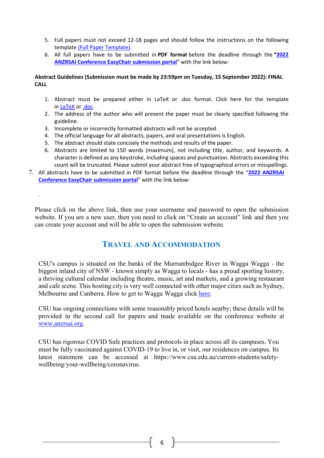- 5. Full papers must not exceed 12-18 pages and should follow the instructions on the following template [\(Full Paper Template\).](http://csusap.csu.edu.au/%7Eazrahman/ASPAC2019/Full-paper-template.docm?attredirects=0&d=1)
- 6. All full papers have to be submitted in **PDF format** before the deadline through the **["2022](https://easychair.org/conferences/?conf=the2022anzrsaiconfer)  [ANZRSAI Conference EasyChair submission portal](https://easychair.org/conferences/?conf=the2022anzrsaiconfer)**" with the link below:

#### **Abstract Guidelines (Submission must be made by 23:59pm on Tuesday, 15 September 2022): FINAL CALL**

- 1. Abstract must be prepared either in LaTeX or .doc format. Click here for the template in [LaTeX](http://csusap.csu.edu.au/%7Eazrahman/ASPAC2019/yourname_aspac2019.tex?attredirects=0&d=1) or [.doc.](http://csusap.csu.edu.au/%7Eazrahman/ASPAC2019/yourname_aspac2019.doc?attredirects=0&d=1)
- 2. The address of the author who will present the paper must be clearly specified following the guideline.
- 3. Incomplete or incorrectly formatted abstracts will not be accepted.

.

- 4. The official language for all abstracts, papers, and oral presentations is English.
- 5. The abstract should state concisely the methods and results of the paper.
- 6. Abstracts are limited to 150 words (maximum), not including title, author, and keywords. A character is defined as any keystroke, including spaces and punctuation. Abstracts exceeding this count will be truncated. Please submit your abstract free of typographical errors or misspellings.
- 7. All abstracts have to be submitted in PDF format before the deadline through the "**[2022 ANZRSAI](https://easychair.org/conferences/?conf=the2022anzrsaiconfer)  [Conference EasyChair submission portal](https://easychair.org/conferences/?conf=the2022anzrsaiconfer)**" with the link below:

Please click on the above link, then use your username and password to open the submission website. If you are a new user, then you need to click on "Create an account" link and then you can create your account and will be able to open the submission website.

#### **TRAVEL AND ACCOMMODATION**

CSU's campus is situated on the banks of the Murrumbidgee River in Wagga Wagga - the biggest inland city of NSW - known simply as Wagga to locals - has a proud sporting history, a thriving cultural calendar including theatre, music, art and markets, and a growing restaurant and cafe scene. This hosting city is very well connected with other major cities such as Sydney, Melbourne and Canberra. How to get to Wagga Wagga click [here.](http://csusap.csu.edu.au/%7Eazrahman/ASPAC2019/location.html)

CSU has ongoing connections with some reasonably priced hotels nearby; these details will be provided in the second call for papers and made available on the conference website at [www.anzrsai.org.](http://www.anzrsai.org/)

CSU has rigorous COVID Safe practices and protocols in place across all its campuses. You must be fully vaccinated against COVID-19 to live in, or visit, our residences on campus. Its latest statement can be accessed at https://www.csu.edu.au/current-students/safetywellbeing/your-wellbeing/coronavirus.